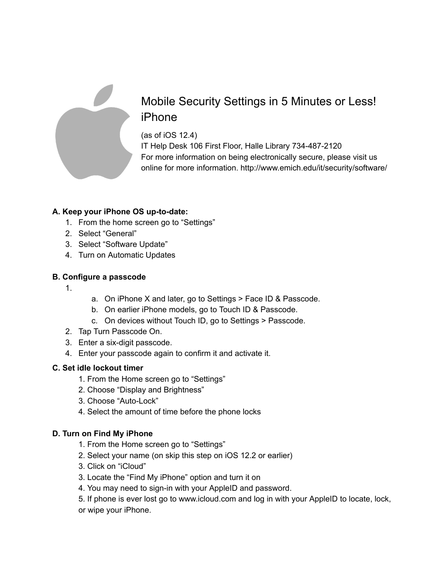

# Mobile Security Settings in 5 Minutes or Less! iPhone

(as of iOS 12.4) IT Help Desk 106 First Floor, Halle Library 734-487-2120 For more information on being electronically secure, please visit us online for more information. http://www.emich.edu/it/security/software/

## **A. Keep your iPhone OS up-to-date:**

- 1. From the home screen go to "Settings"
- 2. Select "General"
- 3. Select "Software Update"
- 4. Turn on Automatic Updates

### **B. Configure a passcode**

- 1.
- a. On iPhone X and later, go to Settings > Face ID & Passcode.
- b. On earlier iPhone models, go to Touch ID & Passcode.
- c. On devices without Touch ID, go to Settings > Passcode.
- 2. Tap Turn Passcode On.
- 3. Enter a six-digit passcode.
- 4. Enter your passcode again to confirm it and activate it.

### **C. Set idle lockout timer**

- 1. From the Home screen go to "Settings"
- 2. Choose "Display and Brightness"
- 3. Choose "Auto-Lock"
- 4. Select the amount of time before the phone locks

### **D. Turn on Find My iPhone**

- 1. From the Home screen go to "Settings"
- 2. Select your name (on skip this step on iOS 12.2 or earlier)
- 3. Click on "iCloud"
- 3. Locate the "Find My iPhone" option and turn it on
- 4. You may need to sign-in with your AppleID and password.
- 5. If phone is ever lost go to www.icloud.com and log in with your AppleID to locate, lock,
- or wipe your iPhone.